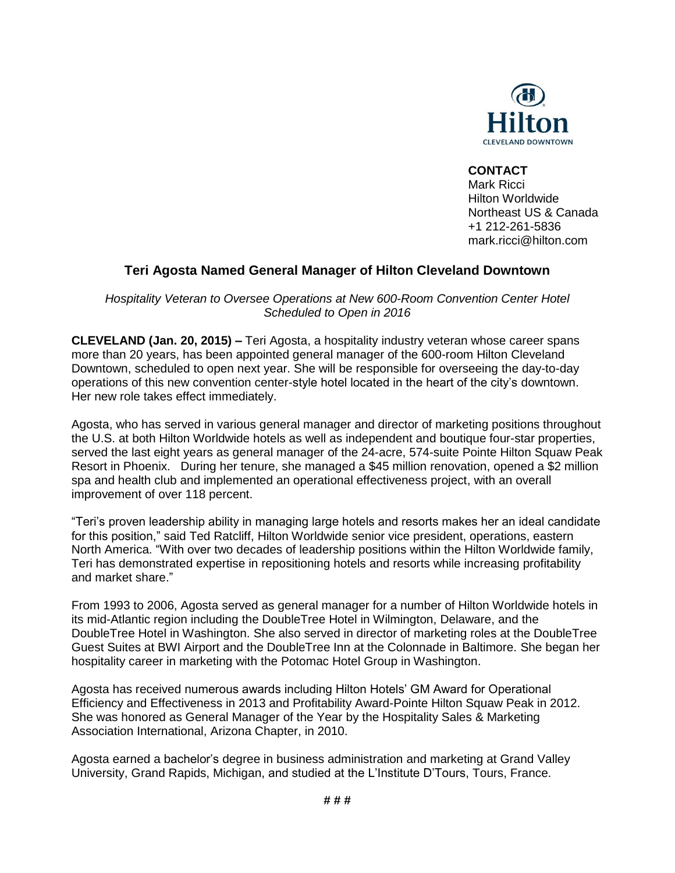

## **CONTACT**

Mark Ricci Hilton Worldwide Northeast US & Canada +1 212-261-5836 mark.ricci@hilton.com

## **Teri Agosta Named General Manager of Hilton Cleveland Downtown**

*Hospitality Veteran to Oversee Operations at New 600-Room Convention Center Hotel Scheduled to Open in 2016*

**CLEVELAND (Jan. 20, 2015) –** Teri Agosta, a hospitality industry veteran whose career spans more than 20 years, has been appointed general manager of the 600-room Hilton Cleveland Downtown, scheduled to open next year. She will be responsible for overseeing the day-to-day operations of this new convention center-style hotel located in the heart of the city's downtown. Her new role takes effect immediately.

Agosta, who has served in various general manager and director of marketing positions throughout the U.S. at both Hilton Worldwide hotels as well as independent and boutique four-star properties, served the last eight years as general manager of the 24-acre, 574-suite Pointe Hilton Squaw Peak Resort in Phoenix. During her tenure, she managed a \$45 million renovation, opened a \$2 million spa and health club and implemented an operational effectiveness project, with an overall improvement of over 118 percent.

"Teri's proven leadership ability in managing large hotels and resorts makes her an ideal candidate for this position," said Ted Ratcliff, Hilton Worldwide senior vice president, operations, eastern North America. "With over two decades of leadership positions within the Hilton Worldwide family, Teri has demonstrated expertise in repositioning hotels and resorts while increasing profitability and market share."

From 1993 to 2006, Agosta served as general manager for a number of Hilton Worldwide hotels in its mid-Atlantic region including the DoubleTree Hotel in Wilmington, Delaware, and the DoubleTree Hotel in Washington. She also served in director of marketing roles at the DoubleTree Guest Suites at BWI Airport and the DoubleTree Inn at the Colonnade in Baltimore. She began her hospitality career in marketing with the Potomac Hotel Group in Washington.

Agosta has received numerous awards including Hilton Hotels' GM Award for Operational Efficiency and Effectiveness in 2013 and Profitability Award-Pointe Hilton Squaw Peak in 2012. She was honored as General Manager of the Year by the Hospitality Sales & Marketing Association International, Arizona Chapter, in 2010.

Agosta earned a bachelor's degree in business administration and marketing at Grand Valley University, Grand Rapids, Michigan, and studied at the L'Institute D'Tours, Tours, France.